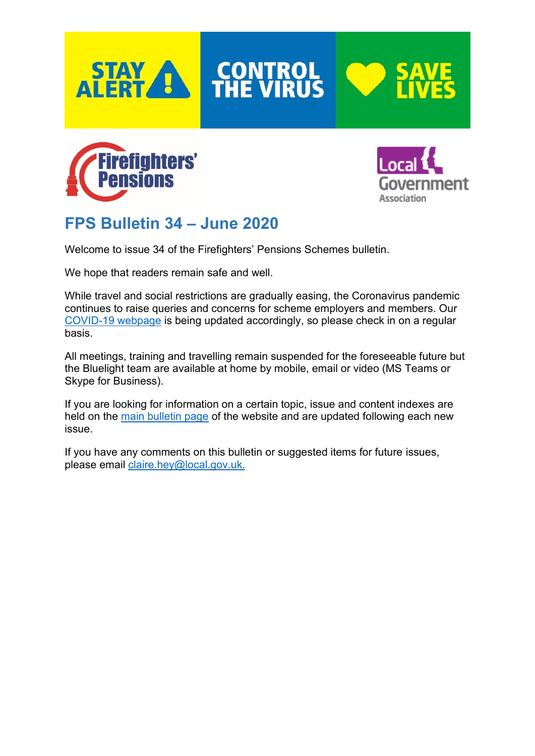

**CONTROL**<br>THE VIRUS







# **FPS Bulletin 34 – June 2020**

Welcome to issue 34 of the Firefighters' Pensions Schemes bulletin.

We hope that readers remain safe and well.

While travel and social restrictions are gradually easing, the Coronavirus pandemic continues to raise queries and concerns for scheme employers and members. Our [COVID-19 webpage](http://www.fpsregs.org/index.php/covid-19-and-the-fps) is being updated accordingly, so please check in on a regular basis.

All meetings, training and travelling remain suspended for the foreseeable future but the Bluelight team are available at home by mobile, email or video (MS Teams or Skype for Business).

If you are looking for information on a certain topic, issue and content indexes are held on the [main bulletin page](http://fpsregs.org/index.php/bulletins-and-circulars/bulletins) of the website and are updated following each new issue.

If you have any comments on this bulletin or suggested items for future issues, please email [claire.hey@local.gov.uk.](mailto:claire.hey@local.gov.uk)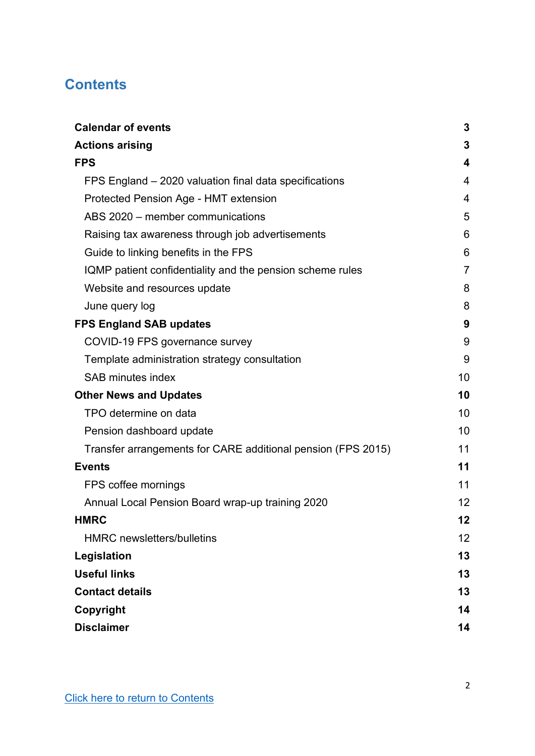## <span id="page-1-0"></span>**Contents**

| <b>Calendar of events</b>                                    | 3              |
|--------------------------------------------------------------|----------------|
| <b>Actions arising</b>                                       | 3              |
| <b>FPS</b>                                                   | 4              |
| FPS England – 2020 valuation final data specifications       | 4              |
| Protected Pension Age - HMT extension                        | 4              |
| ABS 2020 – member communications                             | 5              |
| Raising tax awareness through job advertisements             | 6              |
| Guide to linking benefits in the FPS                         | 6              |
| IQMP patient confidentiality and the pension scheme rules    | $\overline{7}$ |
| Website and resources update                                 | 8              |
| June query log                                               | 8              |
| <b>FPS England SAB updates</b>                               | 9              |
| COVID-19 FPS governance survey                               | 9              |
| Template administration strategy consultation                | 9              |
| <b>SAB minutes index</b>                                     | 10             |
| <b>Other News and Updates</b>                                | 10             |
| TPO determine on data                                        | 10             |
| Pension dashboard update                                     | 10             |
| Transfer arrangements for CARE additional pension (FPS 2015) | 11             |
| <b>Events</b>                                                | 11             |
| FPS coffee mornings                                          | 11             |
| Annual Local Pension Board wrap-up training 2020             | 12             |
| <b>HMRC</b>                                                  | 12             |
| <b>HMRC</b> newsletters/bulletins                            | 12             |
| Legislation                                                  | 13             |
| <b>Useful links</b>                                          | 13             |
| <b>Contact details</b>                                       | 13             |
| Copyright                                                    | 14             |
| <b>Disclaimer</b>                                            | 14             |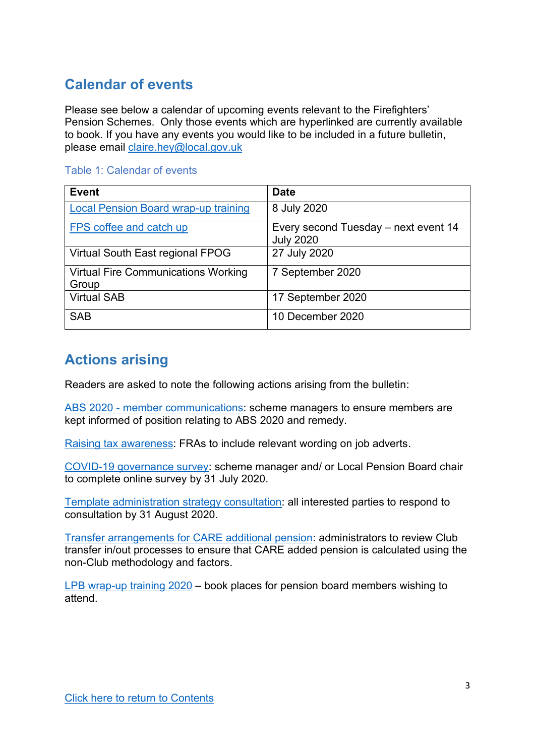## <span id="page-2-0"></span>**Calendar of events**

Please see below a calendar of upcoming events relevant to the Firefighters' Pension Schemes. Only those events which are hyperlinked are currently available to book. If you have any events you would like to be included in a future bulletin, please email [claire.hey@local.gov.uk](mailto:claire.hey@local.gov.uk)

|  |  |  | <b>Table 1: Calendar of events</b> |
|--|--|--|------------------------------------|
|  |  |  |                                    |

| <b>Event</b>                                        | <b>Date</b>                                              |
|-----------------------------------------------------|----------------------------------------------------------|
| <b>Local Pension Board wrap-up training</b>         | 8 July 2020                                              |
| FPS coffee and catch up                             | Every second Tuesday – next event 14<br><b>July 2020</b> |
| Virtual South East regional FPOG                    | 27 July 2020                                             |
| <b>Virtual Fire Communications Working</b><br>Group | 7 September 2020                                         |
| <b>Virtual SAB</b>                                  | 17 September 2020                                        |
| <b>SAB</b>                                          | 10 December 2020                                         |

## <span id="page-2-1"></span>**Actions arising**

Readers are asked to note the following actions arising from the bulletin:

ABS 2020 - [member communications:](#page-4-0) scheme managers to ensure members are kept informed of position relating to ABS 2020 and remedy.

[Raising tax awareness:](#page-5-0) FRAs to include relevant wording on job adverts.

[COVID-19 governance survey:](#page-8-1) scheme manager and/ or Local Pension Board chair to complete online survey by 31 July 2020.

[Template administration strategy consultation:](#page-8-2) all interested parties to respond to consultation by 31 August 2020.

[Transfer arrangements for CARE additional pension:](#page-10-0) administrators to review Club transfer in/out processes to ensure that CARE added pension is calculated using the non-Club methodology and factors.

[LPB wrap-up training 2020](#page-11-0) – book places for pension board members wishing to attend.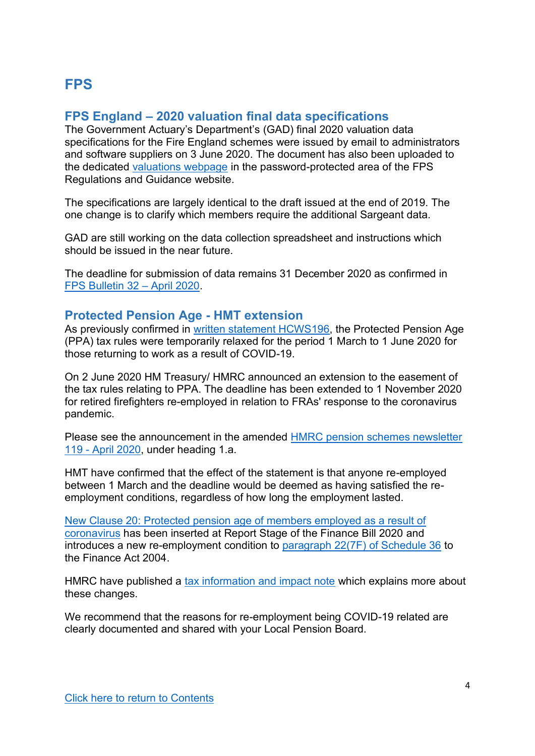## <span id="page-3-0"></span>**FPS**

## <span id="page-3-1"></span>**FPS England – 2020 valuation final data specifications**

The Government Actuary's Department's (GAD) final 2020 valuation data specifications for the Fire England schemes were issued by email to administrators and software suppliers on 3 June 2020. The document has also been uploaded to the dedicated [valuations webpage](http://www.fpsregs.org/index.php/member-area/scheme-valuations-restricted) in the password-protected area of the FPS Regulations and Guidance website.

The specifications are largely identical to the draft issued at the end of 2019. The one change is to clarify which members require the additional Sargeant data.

GAD are still working on the data collection spreadsheet and instructions which should be issued in the near future.

The deadline for submission of data remains 31 December 2020 as confirmed in [FPS Bulletin 32](http://www.fpsregs.org/images/Bulletins/Bulletin-32-April-2020/Bulletin-32.pdf) – April 2020.

### <span id="page-3-2"></span>**Protected Pension Age - HMT extension**

As previously confirmed in [written statement HCWS196,](https://www.parliament.uk/business/publications/written-questions-answers-statements/written-statement/Commons/2020-04-22/HCWS196/) the Protected Pension Age (PPA) tax rules were temporarily relaxed for the period 1 March to 1 June 2020 for those returning to work as a result of COVID-19.

On 2 June 2020 HM Treasury/ HMRC announced an extension to the easement of the tax rules relating to PPA. The deadline has been extended to 1 November 2020 for retired firefighters re-employed in relation to FRAs' response to the coronavirus pandemic.

Please see the announcement in the amended [HMRC pension schemes newsletter](https://www.gov.uk/government/publications/pension-schemes-newsletter-119-april-2020/pension-schemes-newsletter-119-april-2020)  119 - [April 2020,](https://www.gov.uk/government/publications/pension-schemes-newsletter-119-april-2020/pension-schemes-newsletter-119-april-2020) under heading 1.a.

HMT have confirmed that the effect of the statement is that anyone re-employed between 1 March and the deadline would be deemed as having satisfied the reemployment conditions, regardless of how long the employment lasted.

[New Clause 20: Protected pension age of members employed as a result of](https://assets.publishing.service.gov.uk/government/uploads/system/uploads/attachment_data/file/895345/New_Clause_Protected_pension_age_of_members_employed_as_a_result_of_coronavirus_EN.pdf)  [coronavirus](https://assets.publishing.service.gov.uk/government/uploads/system/uploads/attachment_data/file/895345/New_Clause_Protected_pension_age_of_members_employed_as_a_result_of_coronavirus_EN.pdf) has been inserted at Report Stage of the Finance Bill 2020 and introduces a new re-employment condition to [paragraph 22\(7F\) of Schedule 36](http://www.legislation.gov.uk/ukpga/2004/12/schedule/36/paragraph/22) to the Finance Act 2004.

HMRC have published a [tax information and impact note](https://assets.publishing.service.gov.uk/government/uploads/system/uploads/attachment_data/file/895354/Protected_Pension_Age_COVID_19_response_.pdf) which explains more about these changes.

We recommend that the reasons for re-employment being COVID-19 related are clearly documented and shared with your Local Pension Board.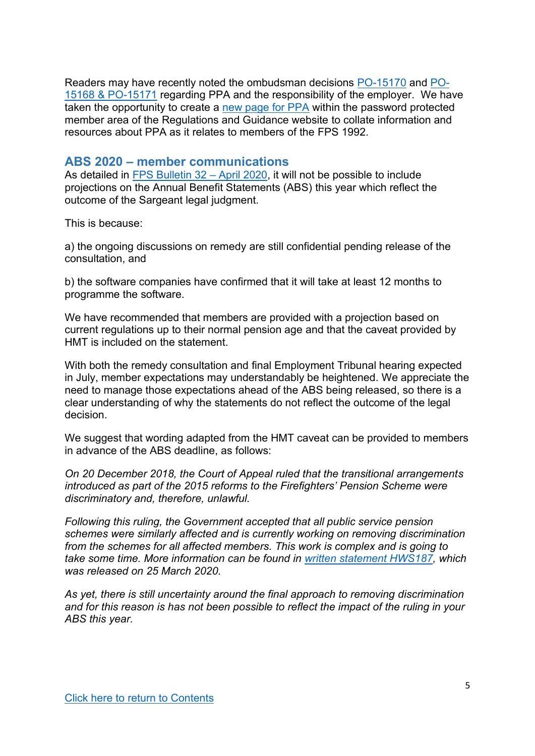Readers may have recently noted the ombudsman decisions [PO-15170](http://www.fpsregs.org/images/Legal/TPO/PO-15170.pdf) and [PO-](http://www.fpsregs.org/images/Legal/TPO/PO-15168-and-PO-15171.pdf)[15168 & PO-15171](http://www.fpsregs.org/images/Legal/TPO/PO-15168-and-PO-15171.pdf) regarding PPA and the responsibility of the employer. We have taken the opportunity to create a [new page for](http://www.fpsregs.org/index.php/member-area/protected-pension-age-ppa) PPA within the password protected member area of the Regulations and Guidance website to collate information and resources about PPA as it relates to members of the FPS 1992.

#### <span id="page-4-0"></span>**ABS 2020 – member communications**

As detailed in [FPS Bulletin 32](http://www.fpsregs.org/images/Bulletins/Bulletin-32-April-2020/Bulletin-32.pdf) – April 2020, it will not be possible to include projections on the Annual Benefit Statements (ABS) this year which reflect the outcome of the Sargeant legal judgment.

This is because:

a) the ongoing discussions on remedy are still confidential pending release of the consultation, and

b) the software companies have confirmed that it will take at least 12 months to programme the software.

We have recommended that members are provided with a projection based on current regulations up to their normal pension age and that the caveat provided by HMT is included on the statement.

With both the remedy consultation and final Employment Tribunal hearing expected in July, member expectations may understandably be heightened. We appreciate the need to manage those expectations ahead of the ABS being released, so there is a clear understanding of why the statements do not reflect the outcome of the legal decision.

We suggest that wording adapted from the HMT caveat can be provided to members in advance of the ABS deadline, as follows:

*On 20 December 2018, the Court of Appeal ruled that the transitional arrangements introduced as part of the 2015 reforms to the Firefighters' Pension Scheme were discriminatory and, therefore, unlawful.* 

*Following this ruling, the Government accepted that all public service pension schemes were similarly affected and is currently working on removing discrimination from the schemes for all affected members. This work is complex and is going to take some time. More information can be found in [written statement HWS187,](https://www.parliament.uk/business/publications/written-questions-answers-statements/written-statement/Commons/2020-03-25/HCWS187/) which was released on 25 March 2020.* 

*As yet, there is still uncertainty around the final approach to removing discrimination and for this reason is has not been possible to reflect the impact of the ruling in your ABS this year.*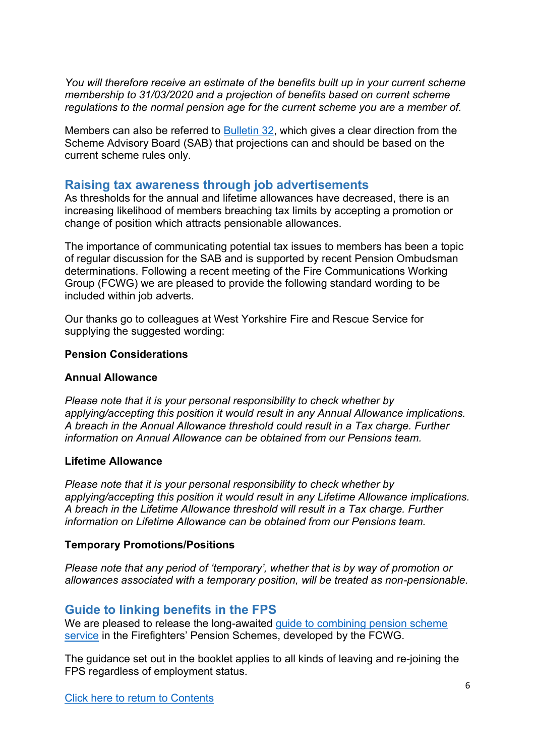*You will therefore receive an estimate of the benefits built up in your current scheme membership to 31/03/2020 and a projection of benefits based on current scheme regulations to the normal pension age for the current scheme you are a member of.* 

Members can also be referred to [Bulletin 32,](http://www.fpsregs.org/images/Bulletins/Bulletin-32-April-2020/Bulletin-32.pdf) which gives a clear direction from the Scheme Advisory Board (SAB) that projections can and should be based on the current scheme rules only.

### <span id="page-5-0"></span>**Raising tax awareness through job advertisements**

As thresholds for the annual and lifetime allowances have decreased, there is an increasing likelihood of members breaching tax limits by accepting a promotion or change of position which attracts pensionable allowances.

The importance of communicating potential tax issues to members has been a topic of regular discussion for the SAB and is supported by recent Pension Ombudsman determinations. Following a recent meeting of the Fire Communications Working Group (FCWG) we are pleased to provide the following standard wording to be included within job adverts.

Our thanks go to colleagues at West Yorkshire Fire and Rescue Service for supplying the suggested wording:

#### **Pension Considerations**

#### **Annual Allowance**

*Please note that it is your personal responsibility to check whether by applying/accepting this position it would result in any Annual Allowance implications. A breach in the Annual Allowance threshold could result in a Tax charge. Further information on Annual Allowance can be obtained from our Pensions team.*

#### **Lifetime Allowance**

*Please note that it is your personal responsibility to check whether by applying/accepting this position it would result in any Lifetime Allowance implications. A breach in the Lifetime Allowance threshold will result in a Tax charge. Further information on Lifetime Allowance can be obtained from our Pensions team.*

#### **Temporary Promotions/Positions**

*Please note that any period of 'temporary', whether that is by way of promotion or allowances associated with a temporary position, will be treated as non-pensionable.* 

### <span id="page-5-1"></span>**Guide to linking benefits in the FPS**

We are pleased to release the long-awaited quide to combining pension scheme [service](http://www.fpsregs.org/images/Guides/FPS-aggregation-guide-version-1-June-2020.pdf) in the Firefighters' Pension Schemes, developed by the FCWG.

The guidance set out in the booklet applies to all kinds of leaving and re-joining the FPS regardless of employment status.

[Click here to return to Contents](#page-1-0)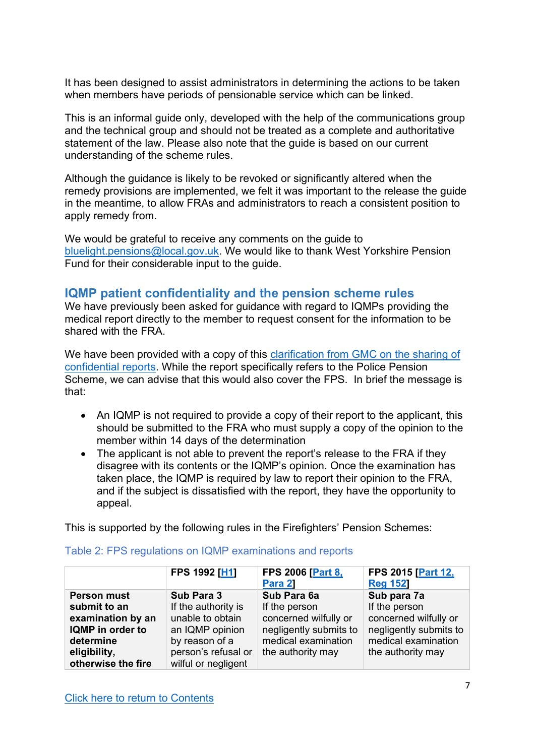It has been designed to assist administrators in determining the actions to be taken when members have periods of pensionable service which can be linked.

This is an informal guide only, developed with the help of the communications group and the technical group and should not be treated as a complete and authoritative statement of the law. Please also note that the guide is based on our current understanding of the scheme rules.

Although the guidance is likely to be revoked or significantly altered when the remedy provisions are implemented, we felt it was important to the release the guide in the meantime, to allow FRAs and administrators to reach a consistent position to apply remedy from.

We would be grateful to receive any comments on the guide to [bluelight.pensions@local.gov.uk.](mailto:bluelight.pensions@local.gov.uk) We would like to thank West Yorkshire Pension Fund for their considerable input to the guide.

## <span id="page-6-0"></span>**IQMP patient confidentiality and the pension scheme rules**

We have previously been asked for guidance with regard to IQMPs providing the medical report directly to the member to request consent for the information to be shared with the FRA.

We have been provided with a copy of this clarification from GMC on the sharing of [confidential reports.](http://www.fpsregs.org/images/Illhealth/GMC-clarification-on-confidentiality-and-reports-by-selected-medical-practitioners.pdf) While the report specifically refers to the Police Pension Scheme, we can advise that this would also cover the FPS. In brief the message is that:

- An IQMP is not required to provide a copy of their report to the applicant, this should be submitted to the FRA who must supply a copy of the opinion to the member within 14 days of the determination
- The applicant is not able to prevent the report's release to the FRA if they disagree with its contents or the IQMP's opinion. Once the examination has taken place, the IQMP is required by law to report their opinion to the FRA, and if the subject is dissatisfied with the report, they have the opportunity to appeal.

This is supported by the following rules in the Firefighters' Pension Schemes:

|                    | FPS 1992 [H1]       | <b>FPS 2006 [Part 8,</b> | FPS 2015 [Part 12,     |
|--------------------|---------------------|--------------------------|------------------------|
|                    |                     | Para 21                  | <b>Reg 152</b>         |
| <b>Person must</b> | Sub Para 3          | Sub Para 6a              | Sub para 7a            |
| submit to an       | If the authority is | If the person            | If the person          |
| examination by an  | unable to obtain    | concerned wilfully or    | concerned wilfully or  |
| IQMP in order to   | an IQMP opinion     | negligently submits to   | negligently submits to |
| determine          | by reason of a      | medical examination      | medical examination    |
| eligibility,       | person's refusal or | the authority may        | the authority may      |
| otherwise the fire | wilful or negligent |                          |                        |

### Table 2: FPS regulations on IQMP examinations and reports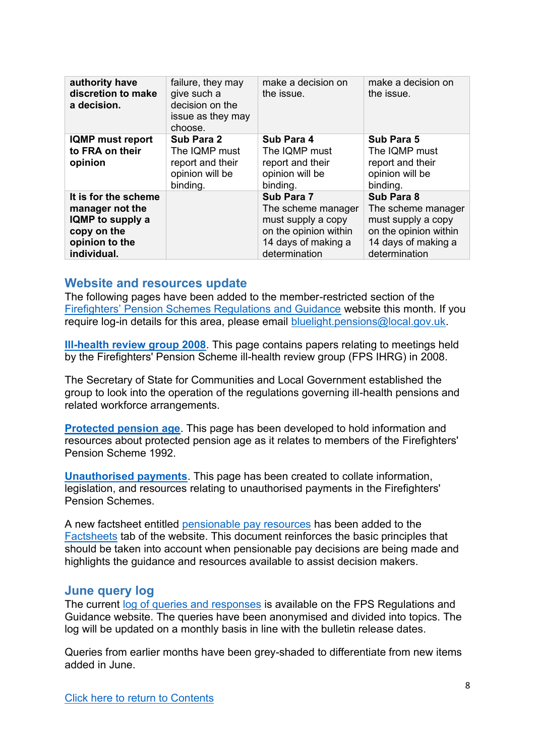| authority have<br>discretion to make<br>a decision.                                                         | failure, they may<br>give such a<br>decision on the<br>issue as they may<br>choose. | make a decision on<br>the issue.                                                                                        | make a decision on<br>the issue.                                                                                        |
|-------------------------------------------------------------------------------------------------------------|-------------------------------------------------------------------------------------|-------------------------------------------------------------------------------------------------------------------------|-------------------------------------------------------------------------------------------------------------------------|
| <b>IQMP</b> must report<br>to FRA on their<br>opinion                                                       | Sub Para 2<br>The IQMP must<br>report and their<br>opinion will be<br>binding.      | Sub Para 4<br>The IQMP must<br>report and their<br>opinion will be<br>binding.                                          | Sub Para 5<br>The IQMP must<br>report and their<br>opinion will be<br>binding.                                          |
| It is for the scheme<br>manager not the<br>IQMP to supply a<br>copy on the<br>opinion to the<br>individual. |                                                                                     | Sub Para 7<br>The scheme manager<br>must supply a copy<br>on the opinion within<br>14 days of making a<br>determination | Sub Para 8<br>The scheme manager<br>must supply a copy<br>on the opinion within<br>14 days of making a<br>determination |

#### <span id="page-7-0"></span>**Website and resources update**

The following pages have been added to the member-restricted section of the [Firefighters' Pension Schemes Regulations and Guidance](http://www.fpsregs.org/index.php/) website this month. If you require log-in details for this area, please email [bluelight.pensions@local.gov.uk.](mailto:bluelight.pensions@local.gov.uk)

**[Ill-health review group 2008](http://www.fpsregs.org/index.php/member-area/ill-health-review-group-2008)**. This page contains papers relating to meetings held by the Firefighters' Pension Scheme ill-health review group (FPS IHRG) in 2008.

The Secretary of State for Communities and Local Government established the group to look into the operation of the regulations governing ill-health pensions and related workforce arrangements.

**[Protected pension age](http://www.fpsregs.org/index.php/member-area/protected-pension-age-ppa)**. This page has been developed to hold information and resources about protected pension age as it relates to members of the Firefighters' Pension Scheme 1992.

**[Unauthorised payments](http://www.fpsregs.org/index.php/member-area/unauthorised-payments)**. This page has been created to collate information, legislation, and resources relating to unauthorised payments in the Firefighters' Pension Schemes.

A new factsheet entitled [pensionable pay resources](http://www.fpsregs.org/images/Factsheets/Pensionable-pay-resource-factsheet.pdf) has been added to the [Factsheets](http://www.fpsregs.org/index.php/administration-resources/factsheets) tab of the website. This document reinforces the basic principles that should be taken into account when pensionable pay decisions are being made and highlights the guidance and resources available to assist decision makers.

### <span id="page-7-1"></span>**June query log**

The current [log of queries and responses](http://www.fpsregs.org/images/admin/Technical-query-log-300620.pdf) is available on the FPS Regulations and Guidance website. The queries have been anonymised and divided into topics. The log will be updated on a monthly basis in line with the bulletin release dates.

Queries from earlier months have been grey-shaded to differentiate from new items added in June.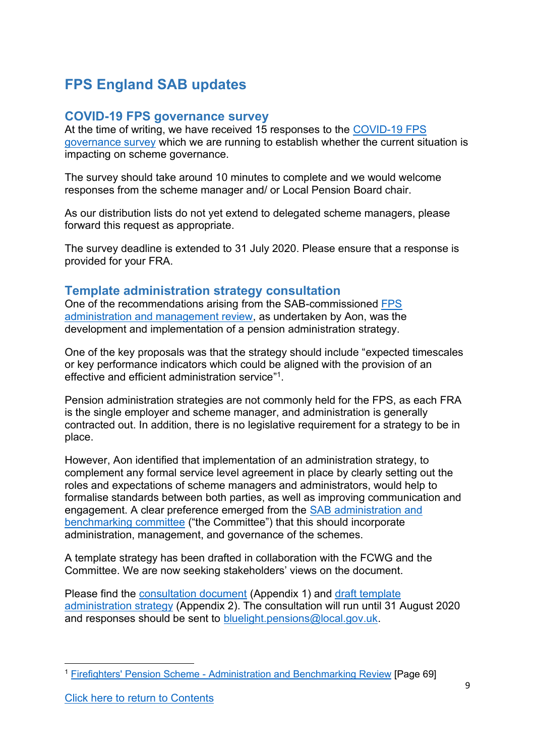# <span id="page-8-0"></span>**FPS England SAB updates**

### <span id="page-8-1"></span>**COVID-19 FPS governance survey**

At the time of writing, we have received 15 responses to the [COVID-19 FPS](https://www.surveymonkey.co.uk/r/2H3YB8C)  [governance survey](https://www.surveymonkey.co.uk/r/2H3YB8C) which we are running to establish whether the current situation is impacting on scheme governance.

The survey should take around 10 minutes to complete and we would welcome responses from the scheme manager and/ or Local Pension Board chair.

As our distribution lists do not yet extend to delegated scheme managers, please forward this request as appropriate.

The survey deadline is extended to 31 July 2020. Please ensure that a response is provided for your FRA.

## <span id="page-8-2"></span>**Template administration strategy consultation**

One of the recommendations arising from the SAB-commissioned [FPS](http://www.fpsboard.org/index.php/board-publications/administration-and-benchmarking-review)  [administration and management review,](http://www.fpsboard.org/index.php/board-publications/administration-and-benchmarking-review) as undertaken by Aon, was the development and implementation of a pension administration strategy.

One of the key proposals was that the strategy should include "expected timescales or key performance indicators which could be aligned with the provision of an effective and efficient administration service" 1 .

Pension administration strategies are not commonly held for the FPS, as each FRA is the single employer and scheme manager, and administration is generally contracted out. In addition, there is no legislative requirement for a strategy to be in place.

However, Aon identified that implementation of an administration strategy, to complement any formal service level agreement in place by clearly setting out the roles and expectations of scheme managers and administrators, would help to formalise standards between both parties, as well as improving communication and engagement. A clear preference emerged from the [SAB administration and](http://www.fpsboard.org/index.php/board-committees/administration-and-benchmarking)  [benchmarking committee](http://www.fpsboard.org/index.php/board-committees/administration-and-benchmarking) ("the Committee") that this should incorporate administration, management, and governance of the schemes.

A template strategy has been drafted in collaboration with the FCWG and the Committee. We are now seeking stakeholders' views on the document.

Please find the [consultation document](http://www.fpsregs.org/images/Bulletins/Bulletin-34-June-2020/Bulletin-34-Appendix-1-PAS-con-doc.pdf) (Appendix 1) and [draft template](http://www.fpsregs.org/images/Bulletins/Bulletin-34-June-2020/Bulletin-34-Appendix-2-Draft-FPS-admin-strategy-June-2020.pdf)  [administration strategy](http://www.fpsregs.org/images/Bulletins/Bulletin-34-June-2020/Bulletin-34-Appendix-2-Draft-FPS-admin-strategy-June-2020.pdf) (Appendix 2). The consultation will run until 31 August 2020 and responses should be sent to [bluelight.pensions@local.gov.uk.](mailto:bluelight.pensions@local.gov.uk)

<sup>1</sup> Firefighters' Pension Scheme - [Administration and Benchmarking Review](http://www.fpsboard.org/images/PDF/Surveys/Aonreportfinal.pdf) [Page 69]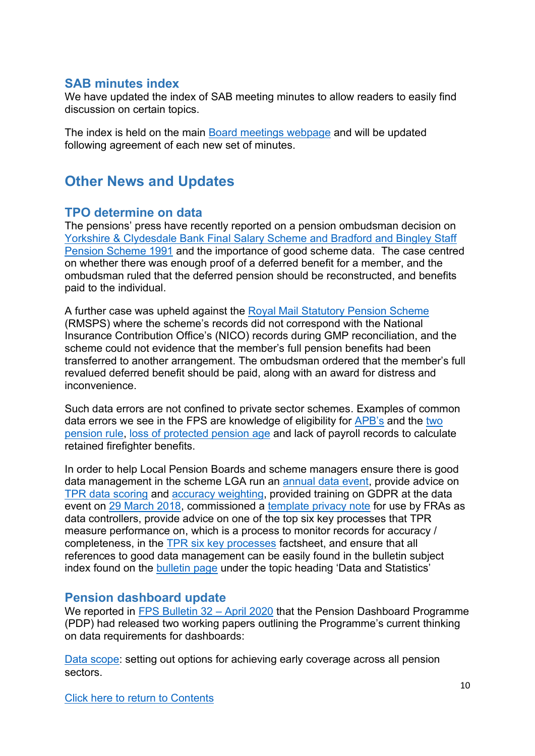## <span id="page-9-0"></span>**SAB minutes index**

We have updated the index of SAB meeting minutes to allow readers to easily find discussion on certain topics.

The index is held on the main [Board meetings webpage](http://www.fpsboard.org/index.php/about-the-board/board-meetings) and will be updated following agreement of each new set of minutes.

## <span id="page-9-1"></span>**Other News and Updates**

## <span id="page-9-2"></span>**TPO determine on data**

The pensions' press have recently reported on a pension ombudsman decision on [Yorkshire & Clydesdale Bank Final Salary Scheme and Bradford and Bingley Staff](https://www.pensions-ombudsman.org.uk/decision/2020/po-25899/yorkshire-clydesdale-bank-final-salary-scheme-and-bradford-bingley-staff)  [Pension Scheme 1991](https://www.pensions-ombudsman.org.uk/decision/2020/po-25899/yorkshire-clydesdale-bank-final-salary-scheme-and-bradford-bingley-staff) and the importance of good scheme data. The case centred on whether there was enough proof of a deferred benefit for a member, and the ombudsman ruled that the deferred pension should be reconstructed, and benefits paid to the individual.

A further case was upheld against the [Royal Mail Statutory Pension Scheme](https://www.pensions-ombudsman.org.uk/decision/2020/po-27002/royal-mail-statutory-pension-scheme-po-27002) (RMSPS) where the scheme's records did not correspond with the National Insurance Contribution Office's (NICO) records during GMP reconciliation, and the scheme could not evidence that the member's full pension benefits had been transferred to another arrangement. The ombudsman ordered that the member's full revalued deferred benefit should be paid, along with an award for distress and inconvenience.

Such data errors are not confined to private sector schemes. Examples of common data errors we see in the FPS are knowledge of eligibility for [APB's](http://www.fpsregs.org/images/admin/APBv1.pdf) and the [two](http://www.fpsregs.org/images/admin/Twopensionsv1.pdf)  [pension rule,](http://www.fpsregs.org/images/admin/Twopensionsv1.pdf) [loss of protected pension age](http://www.fpsregs.org/images/admin/PPAv1.pdf) and lack of payroll records to calculate retained firefighter benefits.

In order to help Local Pension Boards and scheme managers ensure there is good data management in the scheme LGA run an [annual data event,](http://www.fpsregs.org/index.php/events/data) provide advice on [TPR data scoring](http://www.fpsregs.org/images/admin/TPR-data-scoring-2019-clean.pdf) and [accuracy weighting,](http://www.fpsregs.org/images/admin/Data-score-weighting.xlsx) provided training on GDPR at the data event on [29 March 2018,](https://www.local.gov.uk/sites/default/files/documents/Meeting%20GDPR%20and%20TPR%20data%20requirements%20%20-%2029%20March.pdf) commissioned a [template privacy note](http://www.fpsregs.org/images/Legal/GDPR/GDPRFirePN.docx) for use by FRAs as data controllers, provide advice on one of the top six key processes that TPR measure performance on, which is a process to monitor records for accuracy / completeness, in the [TPR six key processes](http://www.fpsregs.org/images/admin/TPR-6-key-processes.v1.pdf) factsheet, and ensure that all references to good data management can be easily found in the bulletin subject index found on the [bulletin page](http://www.fpsregs.org/index.php/bulletins-and-circulars/bulletins) under the topic heading 'Data and Statistics'

### <span id="page-9-3"></span>**Pension dashboard update**

We reported in [FPS Bulletin 32](http://www.fpsregs.org/images/Bulletins/Bulletin-32-April-2020/Bulletin-32.pdf) – April 2020 that the Pension Dashboard Programme (PDP) had released two working papers outlining the Programme's current thinking on data requirements for dashboards:

[Data scope:](https://maps.org.uk/wp-content/uploads/2020/04/pdp-data-scope-working-paper.pdf) setting out options for achieving early coverage across all pension sectors.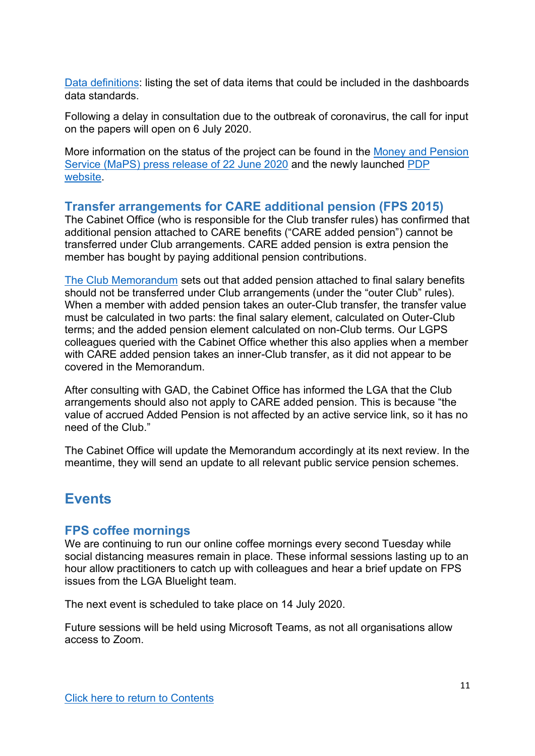[Data definitions:](https://maps.org.uk/wp-content/uploads/2020/04/pdp-data-definitions-working-paper.pdf) listing the set of data items that could be included in the dashboards data standards.

Following a delay in consultation due to the outbreak of coronavirus, the call for input on the papers will open on 6 July 2020.

More information on the status of the project can be found in the [Money and Pension](https://moneyandpensionsservice.org.uk/2020/06/22/pensions-dashboards-programme-starts-market-engagement/)  [Service \(MaPS\) press release of 22 June 2020](https://moneyandpensionsservice.org.uk/2020/06/22/pensions-dashboards-programme-starts-market-engagement/) and the newly launched [PDP](https://www.pensionsdashboardsprogramme.org.uk/)  [website.](https://www.pensionsdashboardsprogramme.org.uk/)

### <span id="page-10-0"></span>**Transfer arrangements for CARE additional pension (FPS 2015)**

The Cabinet Office (who is responsible for the Club transfer rules) has confirmed that additional pension attached to CARE benefits ("CARE added pension") cannot be transferred under Club arrangements. CARE added pension is extra pension the member has bought by paying additional pension contributions.

[The Club Memorandum](https://www.civilservicepensionscheme.org.uk/media/474506/club-memorandum-april-2019.pdf) sets out that added pension attached to final salary benefits should not be transferred under Club arrangements (under the "outer Club" rules). When a member with added pension takes an outer-Club transfer, the transfer value must be calculated in two parts: the final salary element, calculated on Outer-Club terms; and the added pension element calculated on non-Club terms. Our LGPS colleagues queried with the Cabinet Office whether this also applies when a member with CARE added pension takes an inner-Club transfer, as it did not appear to be covered in the Memorandum.

After consulting with GAD, the Cabinet Office has informed the LGA that the Club arrangements should also not apply to CARE added pension. This is because "the value of accrued Added Pension is not affected by an active service link, so it has no need of the Club."

The Cabinet Office will update the Memorandum accordingly at its next review. In the meantime, they will send an update to all relevant public service pension schemes.

## <span id="page-10-1"></span>**Events**

### <span id="page-10-2"></span>**FPS coffee mornings**

We are continuing to run our online coffee mornings every second Tuesday while social distancing measures remain in place. These informal sessions lasting up to an hour allow practitioners to catch up with colleagues and hear a brief update on FPS issues from the LGA Bluelight team.

The next event is scheduled to take place on 14 July 2020.

Future sessions will be held using Microsoft Teams, as not all organisations allow access to Zoom.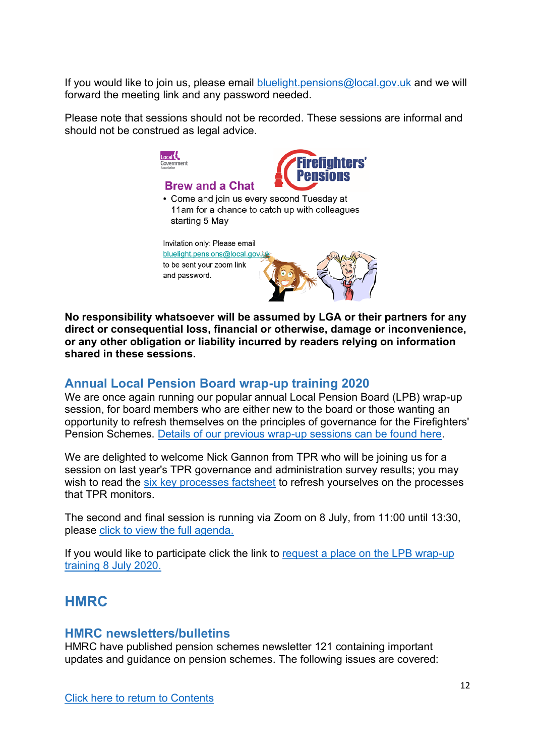If you would like to join us, please email [bluelight.pensions@local.gov.uk](mailto:bluelight.pensions@local.gov.uk) and we will forward the meeting link and any password needed.

Please note that sessions should not be recorded. These sessions are informal and should not be construed as legal advice.



**No responsibility whatsoever will be assumed by LGA or their partners for any direct or consequential loss, financial or otherwise, damage or inconvenience, or any other obligation or liability incurred by readers relying on information shared in these sessions.**

### <span id="page-11-0"></span>**Annual Local Pension Board wrap-up training 2020**

We are once again running our popular annual Local Pension Board (LPB) wrap-up session, for board members who are either new to the board or those wanting an opportunity to refresh themselves on the principles of governance for the Firefighters' Pension Schemes. [Details of our previous wrap-up sessions can be found here.](http://www.fpsregs.org/index.php/events/local-pension-board-wrap-up-training)

We are delighted to welcome Nick Gannon from TPR who will be joining us for a session on last year's TPR governance and administration survey results; you may wish to read the [six key processes factsheet](http://www.fpsregs.org/images/admin/TPR-6-key-processes.v1.pdf) to refresh yourselves on the processes that TPR monitors.

The second and final session is running via Zoom on 8 July, from 11:00 until 13:30, please [click to view the full agenda.](http://www.fpsregs.org/images/Events/LPB-wrap-up-2020/LBP-wrap-up-training-agenda-2020.pdf)

If you would like to participate click the link to [request a place on the LPB wrap-up](mailto:bluelight.pensions@local.gov.uk?subject=Please%20can%20I%20request%20a%20place%20on%20the%208%20July%20pension%20board%20wrap%20up%20session)  [training 8 July 2020.](mailto:bluelight.pensions@local.gov.uk?subject=Please%20can%20I%20request%20a%20place%20on%20the%208%20July%20pension%20board%20wrap%20up%20session)

## <span id="page-11-1"></span>**HMRC**

#### <span id="page-11-2"></span>**HMRC newsletters/bulletins**

HMRC have published pension schemes newsletter 121 containing important updates and guidance on pension schemes. The following issues are covered: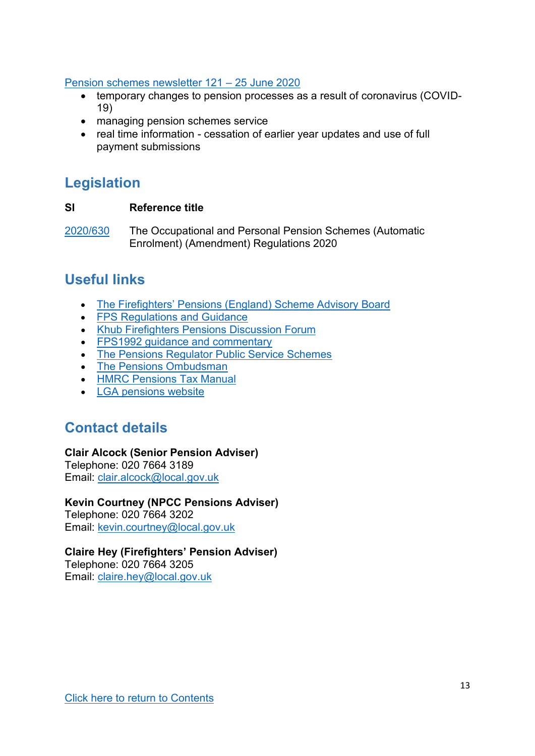#### [Pension schemes newsletter 121](https://www.gov.uk/government/publications/pension-schemes-newsletter-121-june-2020/pension-schemes-newsletter-121-june-2020) – 25 June 2020

- temporary changes to pension processes as a result of coronavirus (COVID-19)
- managing pension schemes service
- real time information cessation of earlier year updates and use of full payment submissions

## <span id="page-12-0"></span>**Legislation**

### **SI Reference title**

[2020/630](http://www.legislation.gov.uk/uksi/2020/630/contents/made) The Occupational and Personal Pension Schemes (Automatic Enrolment) (Amendment) Regulations 2020

# <span id="page-12-1"></span>**Useful links**

- [The Firefighters' Pensions \(England\) Scheme Advisory Board](http://www.fpsboard.org/)
- [FPS Regulations and Guidance](http://www.fpsregs.org/)
- Khub [Firefighters Pensions Discussion Forum](https://khub.net/group/thefirefighterspensionsdiscussionforum)
- FPS1992 quidance and commentary
- [The Pensions Regulator Public Service Schemes](http://www.thepensionsregulator.gov.uk/public-service-schemes.aspx)
- [The Pensions Ombudsman](https://www.pensions-ombudsman.org.uk/)
- [HMRC Pensions Tax Manual](https://www.gov.uk/hmrc-internal-manuals/pensions-tax-manual)
- [LGA pensions website](https://www.local.gov.uk/our-support/workforce-and-hr-support/local-government-pensions)

## <span id="page-12-2"></span>**Contact details**

#### **Clair Alcock (Senior Pension Adviser)**

Telephone: 020 7664 3189 Email: [clair.alcock@local.gov.uk](mailto:clair.alcock@local.gov.uk)

### **Kevin Courtney (NPCC Pensions Adviser)**

Telephone: 020 7664 3202 Email: [kevin.courtney@local.gov.uk](mailto:kevin.courtney@local.gov.uk)

### **Claire Hey (Firefighters' Pension Adviser)**

<span id="page-12-3"></span>Telephone: 020 7664 3205 Email: [claire.hey@local.gov.uk](mailto:claire.hey@local.gov.uk)